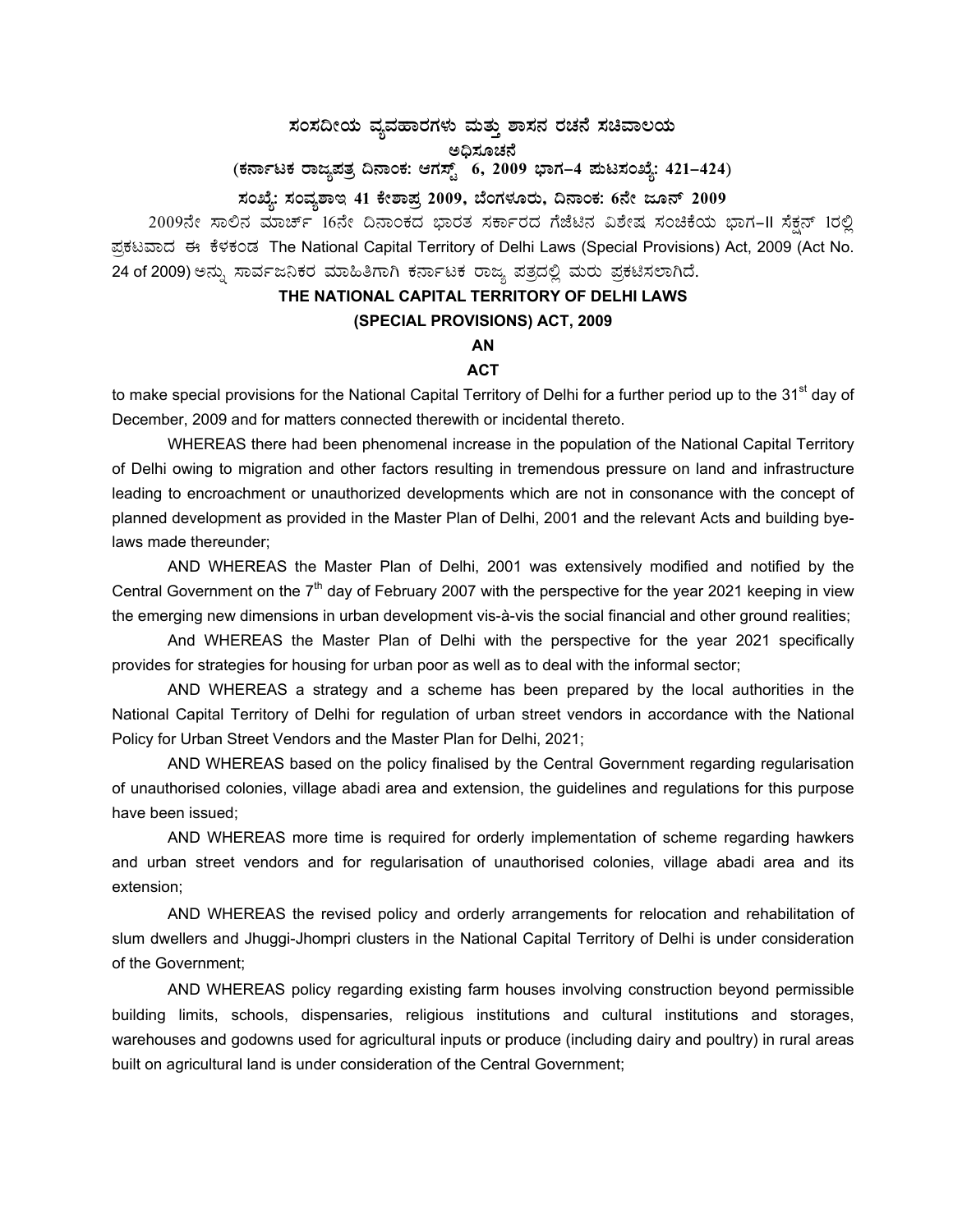# ಸಂಸದೀಯ ವ್ಯವಹಾರಗಳು ಮತ್ತು ಶಾಸನ ರಚನೆ ಸಚಿವಾಲಯ<br>ಜನಿಸ**ೋ** ಅಧಿಸೂಚನೆ<br>-(ಕರ್ನಾಟಕ ರಾಜ್ಯಪತ್ರ ದಿನಾಂಕ: ಆಗಸ್ಟ್ 6, 2009 ಭಾಗ–4 **ಮಟಸಂಖ್ಯೆ: 421–424**)

# ಸಂಖ್ಯೆ: ಸಂವ್ಯಶಾಇ 41 ಕೇಶಾಪ್ತ 2009, ಬೆಂಗಳೂರು, ದಿನಾಂಕ: 6ನೇ ಜೂನ್ 2009

2009ನೇ ಸಾಲಿನ ಮಾರ್ಚ್ 16ನೇ ದಿನಾಂಕದ ಭಾರತ ಸರ್ಕಾರದ ಗೆಜೆಟಿನ ವಿಶೇಷ ಸಂಚಿಕೆಯ ಭಾಗ–II ಸೆಕ್ಷನ್ 1ರಲ್ಲಿ ಪ್ರಕಟವಾದ ಈ ಕೆಳಕಂಡ The National Capital Territory of Delhi Laws (Special Provisions) Act, 2009 (Act No. 24 of 2009) ಅನ್ನು ಸಾರ್ವಜನಿಕರ ಮಾಹಿತಿಗಾಗಿ ಕರ್ನಾಟಕ ರಾಜ್ಯ ಪತ್ರದಲ್ಲಿ ಮರು ಪ್ರಕಟಿಸಲಾಗಿದೆ.

# **THE NATIONAL CAPITAL TERRITORY OF DELHI LAWS**

#### **(SPECIAL PROVISIONS) ACT, 2009**

## **AN**

## **ACT**

to make special provisions for the National Capital Territory of Delhi for a further period up to the 31<sup>st</sup> day of December, 2009 and for matters connected therewith or incidental thereto.

WHEREAS there had been phenomenal increase in the population of the National Capital Territory of Delhi owing to migration and other factors resulting in tremendous pressure on land and infrastructure leading to encroachment or unauthorized developments which are not in consonance with the concept of planned development as provided in the Master Plan of Delhi, 2001 and the relevant Acts and building byelaws made thereunder;

 AND WHEREAS the Master Plan of Delhi, 2001 was extensively modified and notified by the Central Government on the  $7<sup>th</sup>$  day of February 2007 with the perspective for the year 2021 keeping in view the emerging new dimensions in urban development vis-à-vis the social financial and other ground realities;

 And WHEREAS the Master Plan of Delhi with the perspective for the year 2021 specifically provides for strategies for housing for urban poor as well as to deal with the informal sector;

 AND WHEREAS a strategy and a scheme has been prepared by the local authorities in the National Capital Territory of Delhi for regulation of urban street vendors in accordance with the National Policy for Urban Street Vendors and the Master Plan for Delhi, 2021;

 AND WHEREAS based on the policy finalised by the Central Government regarding regularisation of unauthorised colonies, village abadi area and extension, the guidelines and regulations for this purpose have been issued;

 AND WHEREAS more time is required for orderly implementation of scheme regarding hawkers and urban street vendors and for regularisation of unauthorised colonies, village abadi area and its extension;

 AND WHEREAS the revised policy and orderly arrangements for relocation and rehabilitation of slum dwellers and Jhuggi-Jhompri clusters in the National Capital Territory of Delhi is under consideration of the Government;

 AND WHEREAS policy regarding existing farm houses involving construction beyond permissible building limits, schools, dispensaries, religious institutions and cultural institutions and storages, warehouses and godowns used for agricultural inputs or produce (including dairy and poultry) in rural areas built on agricultural land is under consideration of the Central Government;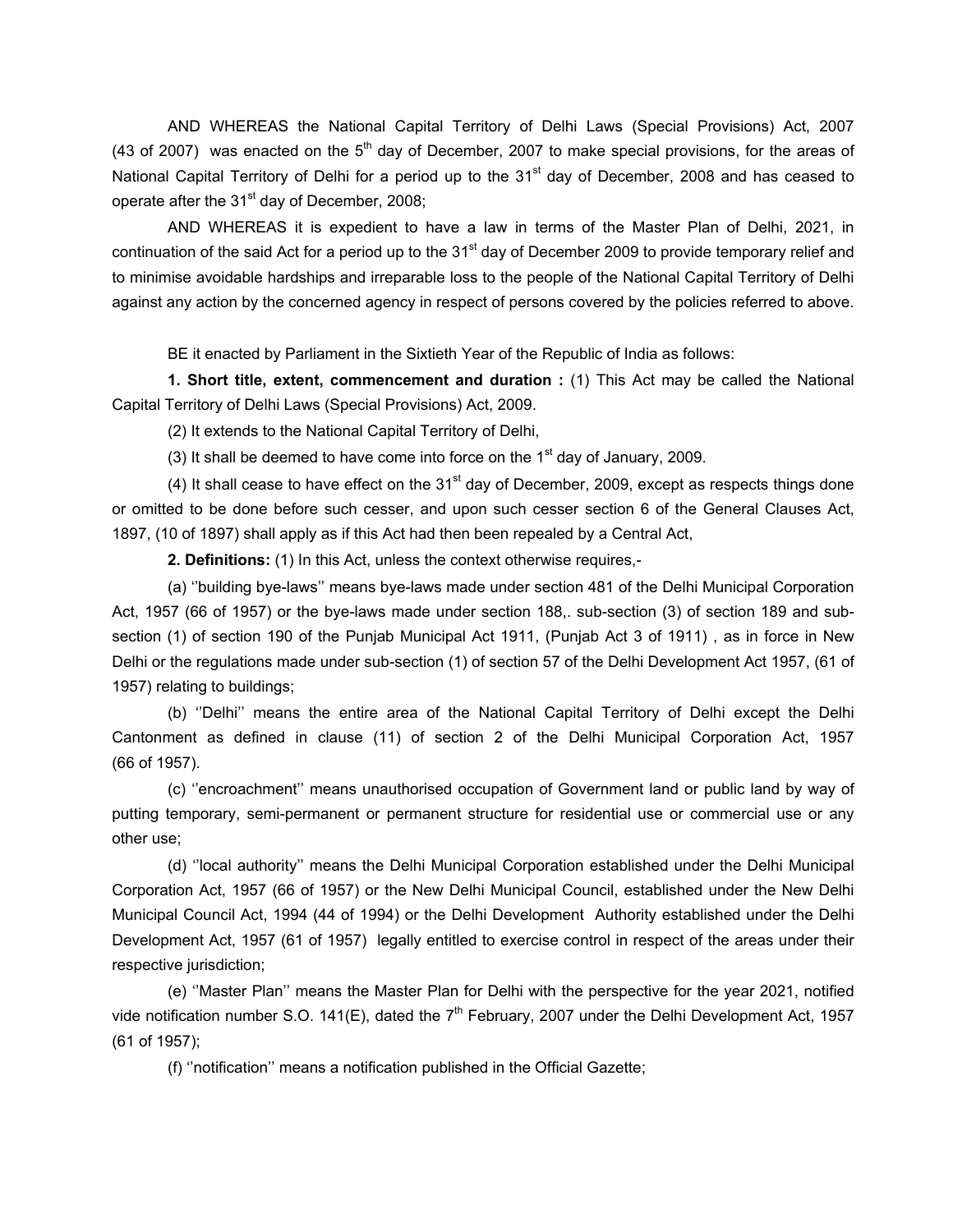AND WHEREAS the National Capital Territory of Delhi Laws (Special Provisions) Act, 2007 (43 of 2007) was enacted on the  $5<sup>th</sup>$  day of December, 2007 to make special provisions, for the areas of National Capital Territory of Delhi for a period up to the 31<sup>st</sup> day of December, 2008 and has ceased to operate after the 31<sup>st</sup> day of December, 2008;

 AND WHEREAS it is expedient to have a law in terms of the Master Plan of Delhi, 2021, in continuation of the said Act for a period up to the 31<sup>st</sup> day of December 2009 to provide temporary relief and to minimise avoidable hardships and irreparable loss to the people of the National Capital Territory of Delhi against any action by the concerned agency in respect of persons covered by the policies referred to above.

BE it enacted by Parliament in the Sixtieth Year of the Republic of India as follows:

**1. Short title, extent, commencement and duration :** (1) This Act may be called the National Capital Territory of Delhi Laws (Special Provisions) Act, 2009.

(2) It extends to the National Capital Territory of Delhi,

(3) It shall be deemed to have come into force on the  $1<sup>st</sup>$  day of January, 2009.

(4) It shall cease to have effect on the  $31<sup>st</sup>$  day of December, 2009, except as respects things done or omitted to be done before such cesser, and upon such cesser section 6 of the General Clauses Act, 1897, (10 of 1897) shall apply as if this Act had then been repealed by a Central Act,

**2. Definitions:** (1) In this Act, unless the context otherwise requires,-

 (a) ''building bye-laws'' means bye-laws made under section 481 of the Delhi Municipal Corporation Act, 1957 (66 of 1957) or the bye-laws made under section 188,. sub-section (3) of section 189 and subsection (1) of section 190 of the Punjab Municipal Act 1911, (Punjab Act 3 of 1911), as in force in New Delhi or the regulations made under sub-section (1) of section 57 of the Delhi Development Act 1957, (61 of 1957) relating to buildings;

 (b) ''Delhi'' means the entire area of the National Capital Territory of Delhi except the Delhi Cantonment as defined in clause (11) of section 2 of the Delhi Municipal Corporation Act, 1957 (66 of 1957).

 (c) ''encroachment'' means unauthorised occupation of Government land or public land by way of putting temporary, semi-permanent or permanent structure for residential use or commercial use or any other use;

 (d) ''local authority'' means the Delhi Municipal Corporation established under the Delhi Municipal Corporation Act, 1957 (66 of 1957) or the New Delhi Municipal Council, established under the New Delhi Municipal Council Act, 1994 (44 of 1994) or the Delhi Development Authority established under the Delhi Development Act, 1957 (61 of 1957) legally entitled to exercise control in respect of the areas under their respective jurisdiction;

 (e) ''Master Plan'' means the Master Plan for Delhi with the perspective for the year 2021, notified vide notification number S.O. 141(E), dated the  $7<sup>th</sup>$  February, 2007 under the Delhi Development Act, 1957 (61 of 1957);

(f) ''notification'' means a notification published in the Official Gazette;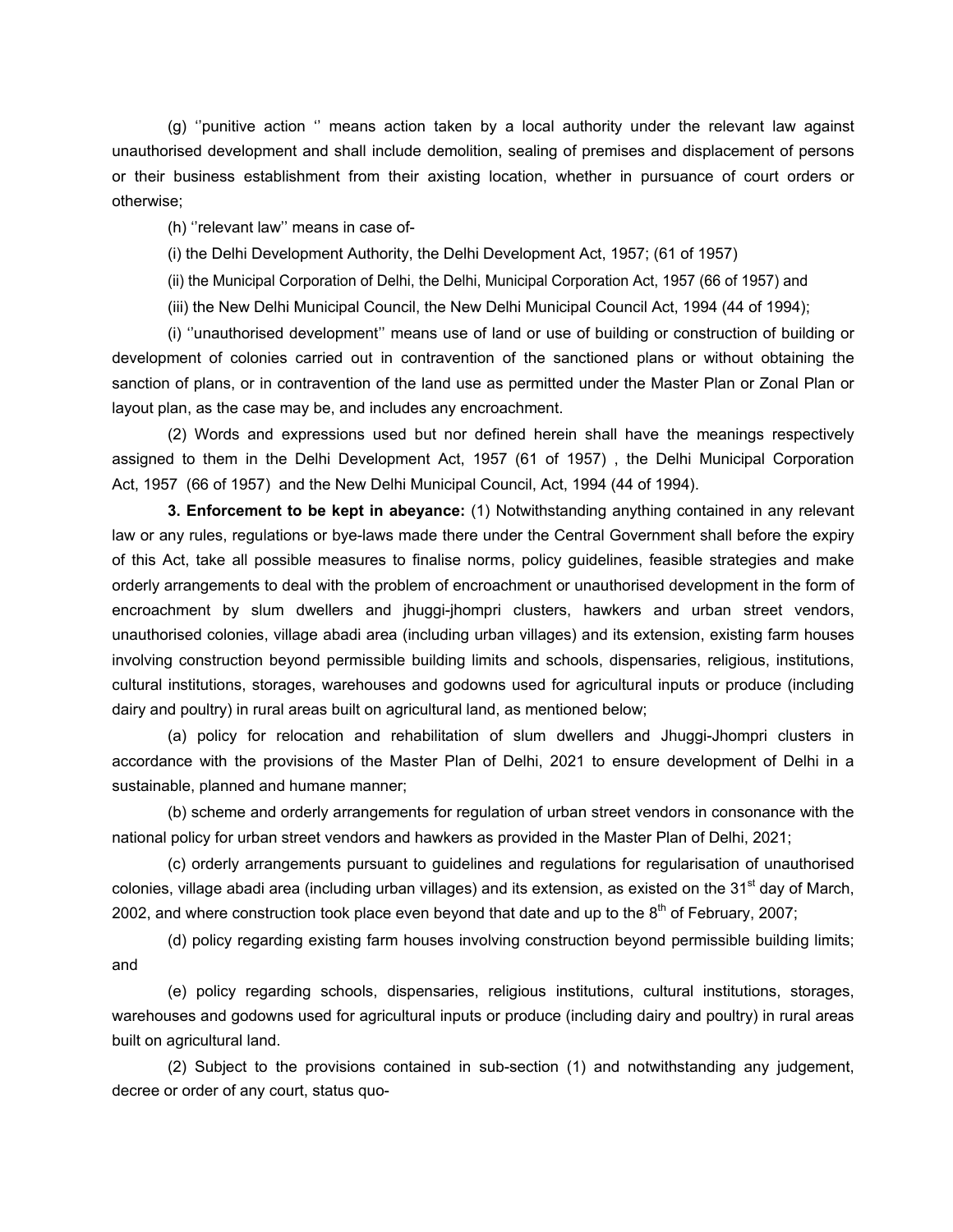(g) ''punitive action '' means action taken by a local authority under the relevant law against unauthorised development and shall include demolition, sealing of premises and displacement of persons or their business establishment from their axisting location, whether in pursuance of court orders or otherwise;

(h) ''relevant law'' means in case of-

(i) the Delhi Development Authority, the Delhi Development Act, 1957; (61 of 1957)

(ii) the Municipal Corporation of Delhi, the Delhi, Municipal Corporation Act, 1957 (66 of 1957) and

(iii) the New Delhi Municipal Council, the New Delhi Municipal Council Act, 1994 (44 of 1994);

 (i) ''unauthorised development'' means use of land or use of building or construction of building or development of colonies carried out in contravention of the sanctioned plans or without obtaining the sanction of plans, or in contravention of the land use as permitted under the Master Plan or Zonal Plan or layout plan, as the case may be, and includes any encroachment.

 (2) Words and expressions used but nor defined herein shall have the meanings respectively assigned to them in the Delhi Development Act, 1957 (61 of 1957) , the Delhi Municipal Corporation Act, 1957 (66 of 1957) and the New Delhi Municipal Council, Act, 1994 (44 of 1994).

**3. Enforcement to be kept in abeyance:** (1) Notwithstanding anything contained in any relevant law or any rules, regulations or bye-laws made there under the Central Government shall before the expiry of this Act, take all possible measures to finalise norms, policy guidelines, feasible strategies and make orderly arrangements to deal with the problem of encroachment or unauthorised development in the form of encroachment by slum dwellers and jhuggi-jhompri clusters, hawkers and urban street vendors, unauthorised colonies, village abadi area (including urban villages) and its extension, existing farm houses involving construction beyond permissible building limits and schools, dispensaries, religious, institutions, cultural institutions, storages, warehouses and godowns used for agricultural inputs or produce (including dairy and poultry) in rural areas built on agricultural land, as mentioned below;

 (a) policy for relocation and rehabilitation of slum dwellers and Jhuggi-Jhompri clusters in accordance with the provisions of the Master Plan of Delhi, 2021 to ensure development of Delhi in a sustainable, planned and humane manner;

 (b) scheme and orderly arrangements for regulation of urban street vendors in consonance with the national policy for urban street vendors and hawkers as provided in the Master Plan of Delhi, 2021;

 (c) orderly arrangements pursuant to guidelines and regulations for regularisation of unauthorised colonies, village abadi area (including urban villages) and its extension, as existed on the 31<sup>st</sup> day of March, 2002, and where construction took place even beyond that date and up to the  $8<sup>th</sup>$  of February, 2007;

 (d) policy regarding existing farm houses involving construction beyond permissible building limits; and

 (e) policy regarding schools, dispensaries, religious institutions, cultural institutions, storages, warehouses and godowns used for agricultural inputs or produce (including dairy and poultry) in rural areas built on agricultural land.

 (2) Subject to the provisions contained in sub-section (1) and notwithstanding any judgement, decree or order of any court, status quo-